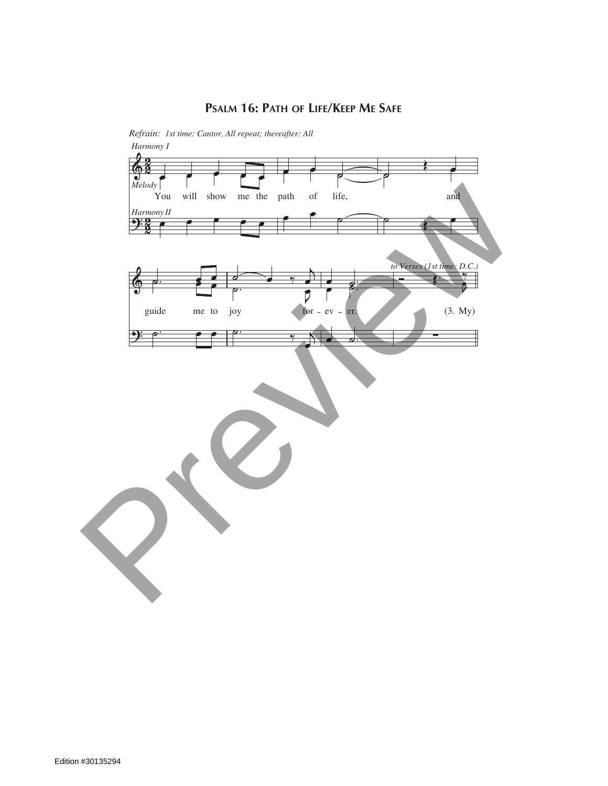## **Psalm 16: Path of Life/Keep Me Safe**



*Refrain: 1st time: Cantor, All repeat; thereafter: All Harmony I*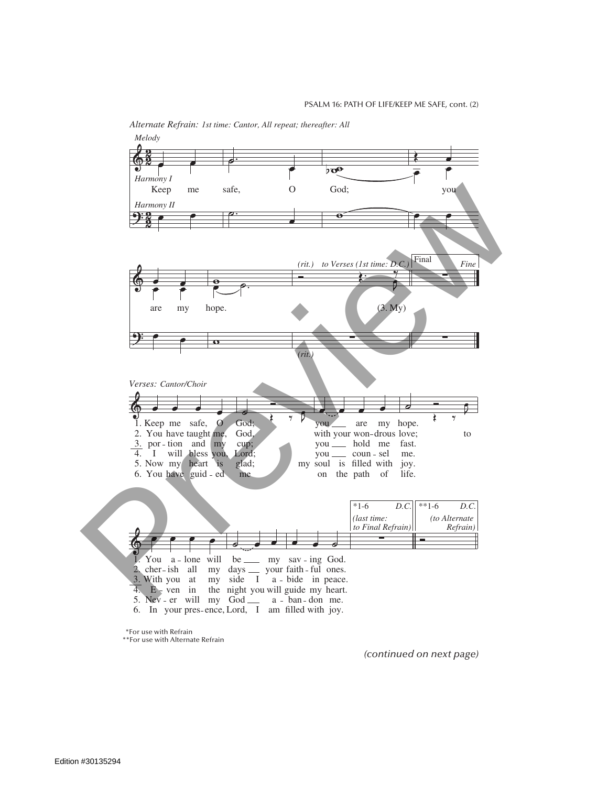

*Alternate Refrain: 1st time: Cantor, All repeat; thereafter: All*

\*For use with Refrain

*Final Refrain: All* \*\*For use with Alternate Refrain

*(continued on next page)*